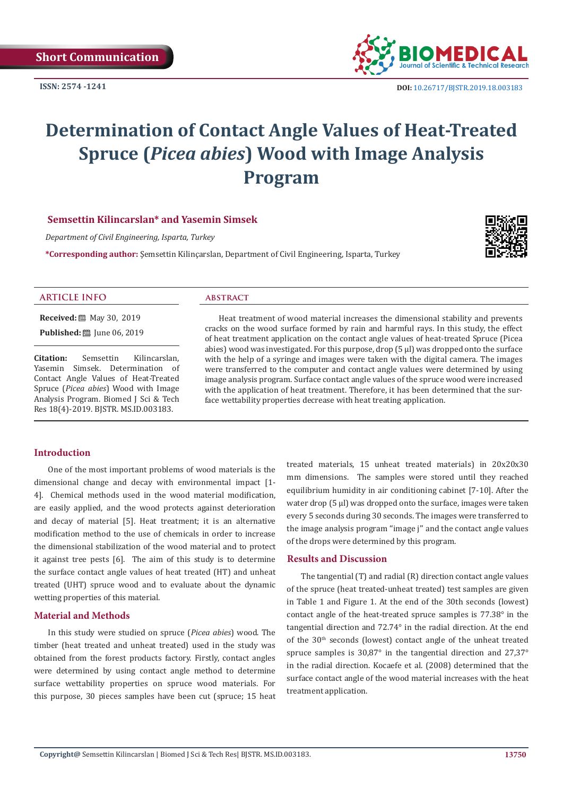**ISSN: 2574 -1241**



 **DOI:** [10.26717/BJSTR.2019.18.0031](http://dx.doi.org/10.26717/BJSTR.2019.18.003183)83

# **Determination of Contact Angle Values of Heat-Treated Spruce (***Picea abies***) Wood with Image Analysis Program**

# **Semsettin Kilincarslan\* and Yasemin Simsek**

*Department of Civil Engineering, Isparta, Turkey*

**\*Corresponding author:** Şemsettin Kilinçarslan, Department of Civil Engineering, Isparta, Turkey



# **ARTICLE INFO abstract**

**Received:** 圖 May 30, 2019

**Published:** ■ June 06, 2019

**Citation:** Semsettin Kilincarslan, Yasemin Simsek. Determination of Contact Angle Values of Heat-Treated Spruce (*Picea abies*) Wood with Image Analysis Program. Biomed J Sci & Tech Res 18(4)-2019. BJSTR. MS.ID.003183.

Heat treatment of wood material increases the dimensional stability and prevents cracks on the wood surface formed by rain and harmful rays. In this study, the effect of heat treatment application on the contact angle values of heat-treated Spruce (Picea abies) wood was investigated. For this purpose, drop (5 μl) was dropped onto the surface with the help of a syringe and images were taken with the digital camera. The images were transferred to the computer and contact angle values were determined by using image analysis program. Surface contact angle values of the spruce wood were increased with the application of heat treatment. Therefore, it has been determined that the surface wettability properties decrease with heat treating application.

# **Introduction**

One of the most important problems of wood materials is the dimensional change and decay with environmental impact [1- 4]. Chemical methods used in the wood material modification, are easily applied, and the wood protects against deterioration and decay of material [5]. Heat treatment; it is an alternative modification method to the use of chemicals in order to increase the dimensional stabilization of the wood material and to protect it against tree pests [6]. The aim of this study is to determine the surface contact angle values of heat treated (HT) and unheat treated (UHT) spruce wood and to evaluate about the dynamic wetting properties of this material.

# **Material and Methods**

In this study were studied on spruce (*Picea abies*) wood. The timber (heat treated and unheat treated) used in the study was obtained from the forest products factory. Firstly, contact angles were determined by using contact angle method to determine surface wettability properties on spruce wood materials. For this purpose, 30 pieces samples have been cut (spruce; 15 heat treated materials, 15 unheat treated materials) in 20x20x30 mm dimensions. The samples were stored until they reached equilibrium humidity in air conditioning cabinet [7-10]. After the water drop (5 μl) was dropped onto the surface, images were taken every 5 seconds during 30 seconds. The images were transferred to the image analysis program ''image j'' and the contact angle values of the drops were determined by this program.

### **Results and Discussion**

The tangential (T) and radial (R) direction contact angle values of the spruce (heat treated-unheat treated) test samples are given in Table 1 and Figure 1. At the end of the 30th seconds (lowest) contact angle of the heat-treated spruce samples is 77.38° in the tangential direction and 72.74° in the radial direction. At the end of the  $30<sup>th</sup>$  seconds (lowest) contact angle of the unheat treated spruce samples is 30,87° in the tangential direction and 27,37° in the radial direction. Kocaefe et al. (2008) determined that the surface contact angle of the wood material increases with the heat treatment application.